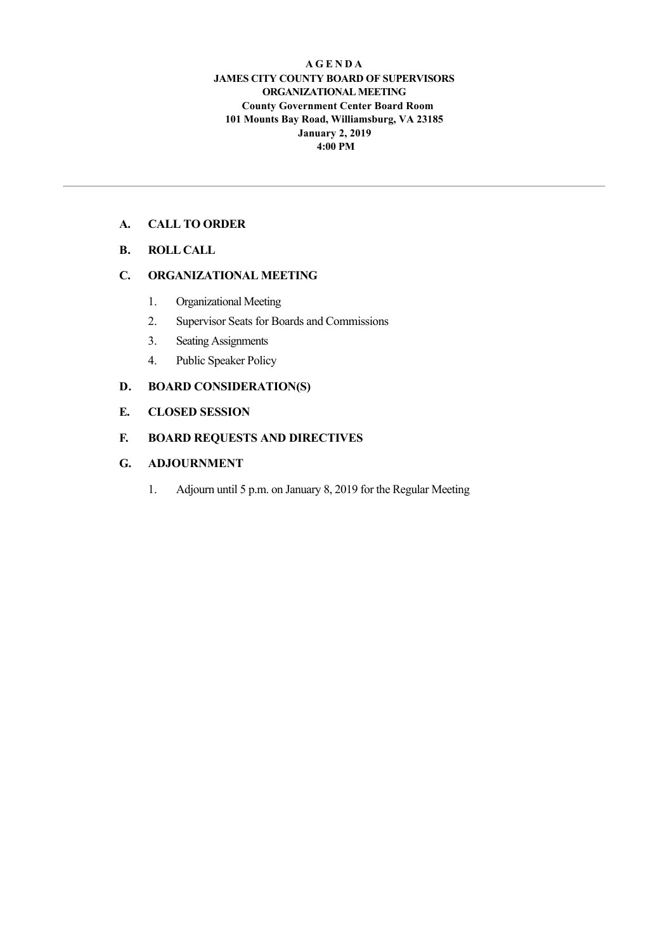#### **A G E N D A JAMES CITY COUNTY BOARD OF SUPERVISORS ORGANIZATIONAL MEETING County Government Center Board Room 101 Mounts Bay Road, Williamsburg, VA 23185 January 2, 2019 4:00 PM**

## **A. CALL TO ORDER**

**B. ROLL CALL**

#### **C. ORGANIZATIONAL MEETING**

- 1. Organizational Meeting
- 2. Supervisor Seats for Boards and Commissions
- 3. Seating Assignments
- 4. Public Speaker Policy

## **D. BOARD CONSIDERATION(S)**

#### **E. CLOSED SESSION**

#### **F. BOARD REQUESTS AND DIRECTIVES**

## **G. ADJOURNMENT**

1. Adjourn until 5 p.m. on January 8, 2019 for the Regular Meeting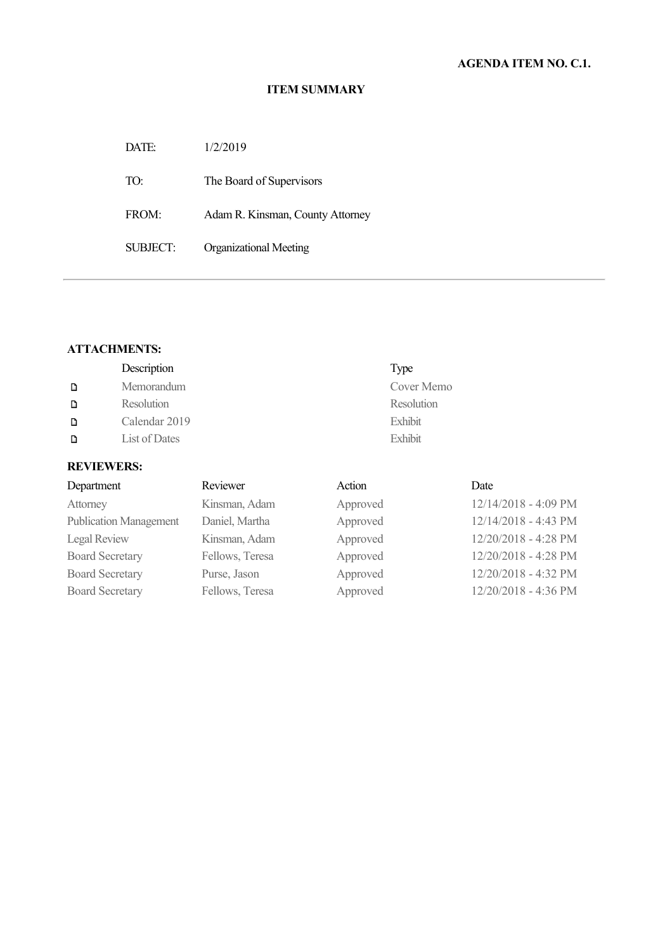DATE: 1/2/2019 TO: The Board of Supervisors FROM: Adam R. Kinsman, County Attorney SUBJECT: Organizational Meeting

## **ATTACHMENTS:**

|   | Description   | Type       |
|---|---------------|------------|
| D | Memorandum    | Cover Memo |
| D | Resolution    | Resolution |
| Đ | Calendar 2019 | Exhibit    |
| D | List of Dates | Exhibit    |
|   |               |            |

| Department                    | Reviewer        | Action   | Date                 |
|-------------------------------|-----------------|----------|----------------------|
| Attorney                      | Kinsman, Adam   | Approved | 12/14/2018 - 4:09 PM |
| <b>Publication Management</b> | Daniel, Martha  | Approved | 12/14/2018 - 4:43 PM |
| Legal Review                  | Kinsman, Adam   | Approved | 12/20/2018 - 4:28 PM |
| <b>Board Secretary</b>        | Fellows, Teresa | Approved | 12/20/2018 - 4:28 PM |
| <b>Board Secretary</b>        | Purse, Jason    | Approved | 12/20/2018 - 4:32 PM |
| <b>Board Secretary</b>        | Fellows, Teresa | Approved | 12/20/2018 - 4:36 PM |
|                               |                 |          |                      |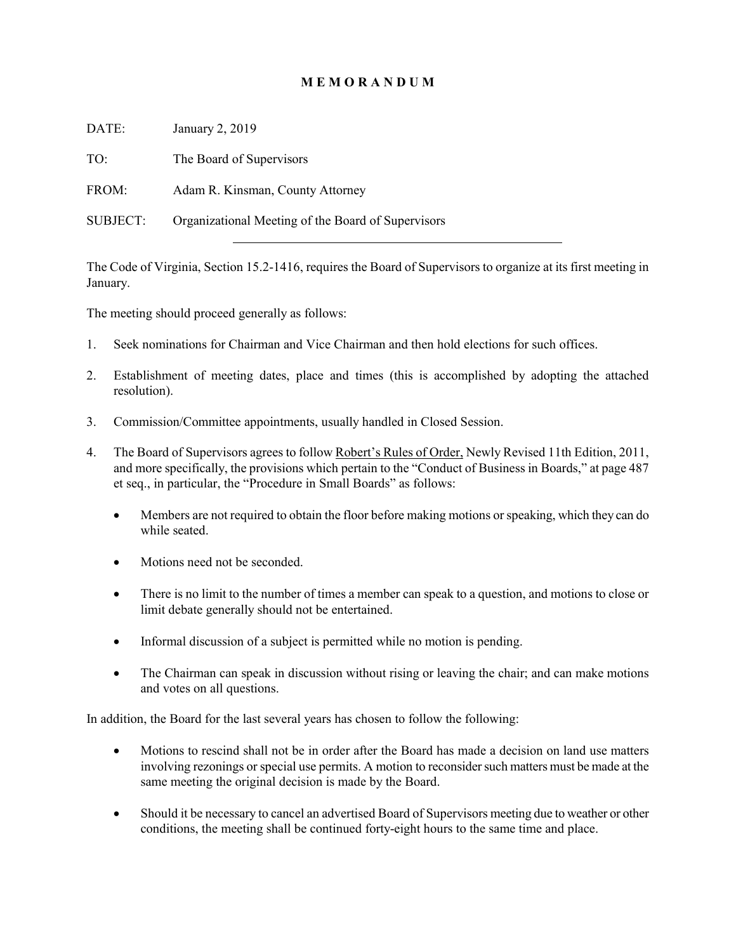## **M E M O R A N D U M**

DATE: January 2, 2019

TO: The Board of Supervisors

FROM: Adam R. Kinsman, County Attorney

SUBJECT: Organizational Meeting of the Board of Supervisors

The Code of Virginia, Section 15.2-1416, requires the Board of Supervisors to organize at its first meeting in January.

The meeting should proceed generally as follows:

- 1. Seek nominations for Chairman and Vice Chairman and then hold elections for such offices.
- 2. Establishment of meeting dates, place and times (this is accomplished by adopting the attached resolution).
- 3. Commission/Committee appointments, usually handled in Closed Session.
- 4. The Board of Supervisors agrees to follow Robert's Rules of Order, Newly Revised 11th Edition, 2011, and more specifically, the provisions which pertain to the "Conduct of Business in Boards," at page 487 et seq., in particular, the "Procedure in Small Boards" as follows:
	- Members are not required to obtain the floor before making motions or speaking, which they can do while seated.
	- Motions need not be seconded.
	- There is no limit to the number of times a member can speak to a question, and motions to close or limit debate generally should not be entertained.
	- Informal discussion of a subject is permitted while no motion is pending.
	- The Chairman can speak in discussion without rising or leaving the chair; and can make motions and votes on all questions.

In addition, the Board for the last several years has chosen to follow the following:

- Motions to rescind shall not be in order after the Board has made a decision on land use matters involving rezonings or special use permits. A motion to reconsider such matters must be made at the same meeting the original decision is made by the Board.
- Should it be necessary to cancel an advertised Board of Supervisors meeting due to weather or other conditions, the meeting shall be continued forty-eight hours to the same time and place.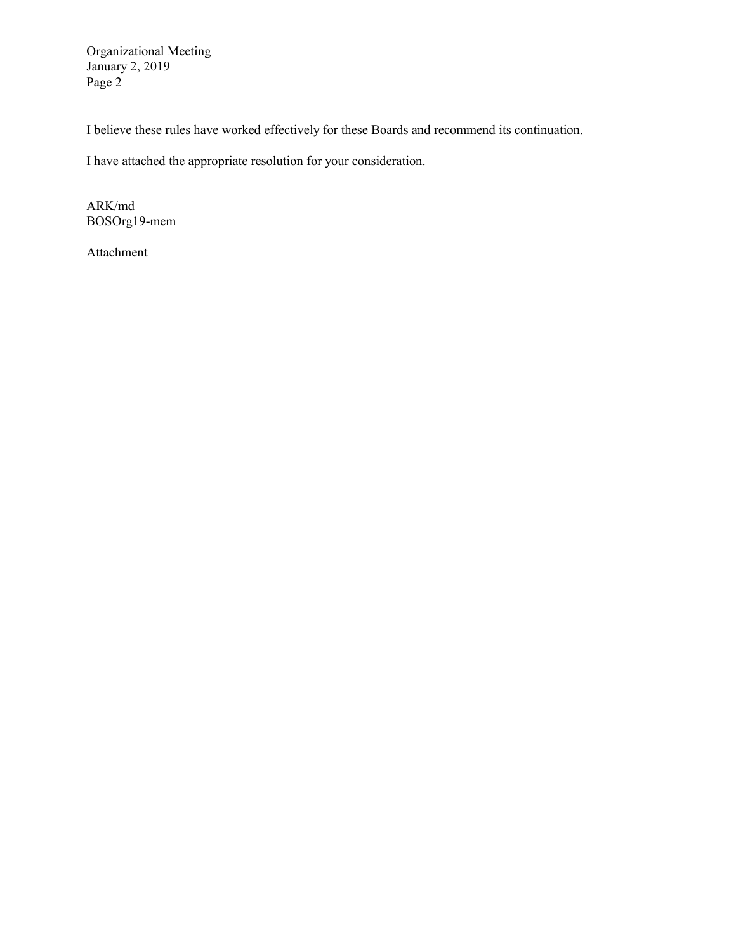Organizational Meeting January 2, 2019 Page 2

I believe these rules have worked effectively for these Boards and recommend its continuation.

I have attached the appropriate resolution for your consideration.

ARK/md BOSOrg19-mem

Attachment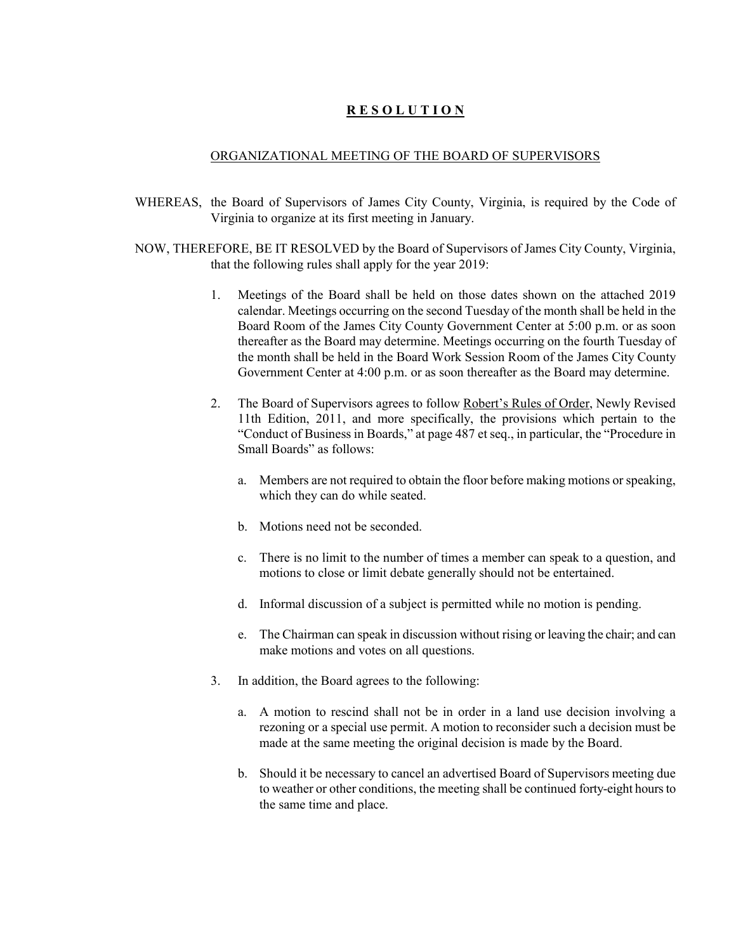## **R E S O L U T I O N**

#### ORGANIZATIONAL MEETING OF THE BOARD OF SUPERVISORS

- WHEREAS, the Board of Supervisors of James City County, Virginia, is required by the Code of Virginia to organize at its first meeting in January.
- NOW, THEREFORE, BE IT RESOLVED by the Board of Supervisors of James City County, Virginia, that the following rules shall apply for the year 2019:
	- 1. Meetings of the Board shall be held on those dates shown on the attached 2019 calendar. Meetings occurring on the second Tuesday of the month shall be held in the Board Room of the James City County Government Center at 5:00 p.m. or as soon thereafter as the Board may determine. Meetings occurring on the fourth Tuesday of the month shall be held in the Board Work Session Room of the James City County Government Center at 4:00 p.m. or as soon thereafter as the Board may determine.
	- 2. The Board of Supervisors agrees to follow Robert's Rules of Order, Newly Revised 11th Edition, 2011, and more specifically, the provisions which pertain to the "Conduct of Business in Boards," at page 487 et seq., in particular, the "Procedure in Small Boards" as follows:
		- a. Members are not required to obtain the floor before making motions or speaking, which they can do while seated.
		- b. Motions need not be seconded.
		- c. There is no limit to the number of times a member can speak to a question, and motions to close or limit debate generally should not be entertained.
		- d. Informal discussion of a subject is permitted while no motion is pending.
		- e. The Chairman can speak in discussion without rising or leaving the chair; and can make motions and votes on all questions.
	- 3. In addition, the Board agrees to the following:
		- a. A motion to rescind shall not be in order in a land use decision involving a rezoning or a special use permit. A motion to reconsider such a decision must be made at the same meeting the original decision is made by the Board.
		- b. Should it be necessary to cancel an advertised Board of Supervisors meeting due to weather or other conditions, the meeting shall be continued forty-eight hours to the same time and place.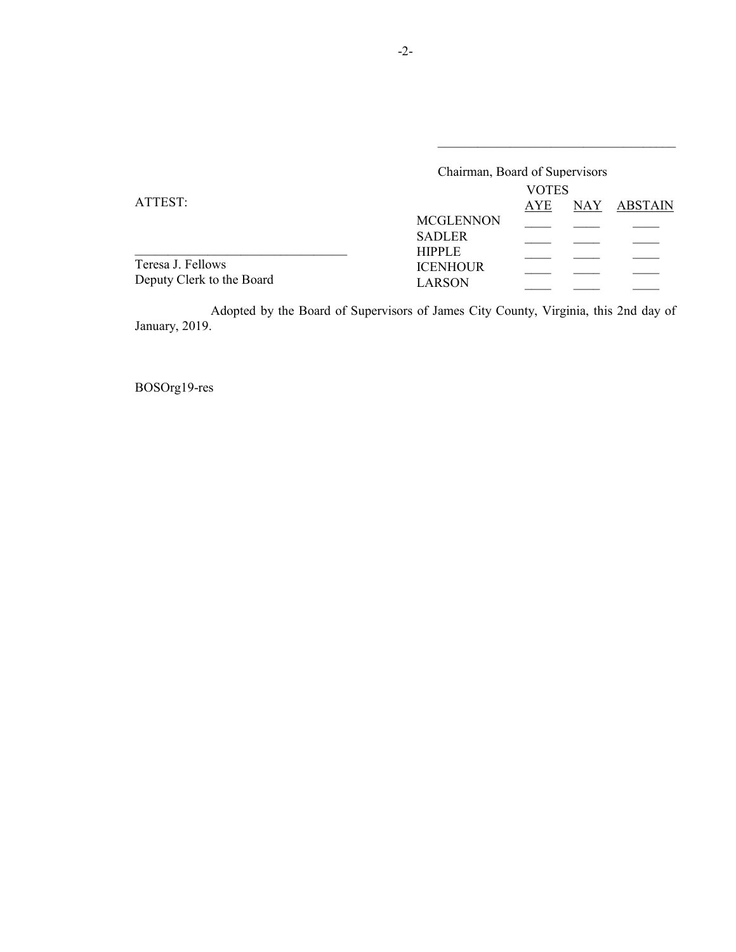|                           | Chairman, Board of Supervisors   |              |            |                |  |
|---------------------------|----------------------------------|--------------|------------|----------------|--|
|                           |                                  | <b>VOTES</b> |            |                |  |
| ATTEST:                   |                                  |              | <b>NAY</b> | <b>ABSTAIN</b> |  |
|                           | <b>MCGLENNON</b>                 |              |            |                |  |
|                           | <b>SADLER</b>                    |              |            |                |  |
| Teresa J. Fellows         | <b>HIPPLE</b><br><b>ICENHOUR</b> |              |            |                |  |
| Deputy Clerk to the Board | LARSON                           |              |            |                |  |

\_\_\_\_\_\_\_\_\_\_\_\_\_\_\_\_\_\_\_\_\_\_\_\_\_\_\_\_\_\_\_\_\_\_\_\_

Adopted by the Board of Supervisors of James City County, Virginia, this 2nd day of January, 2019.

BOSOrg19-res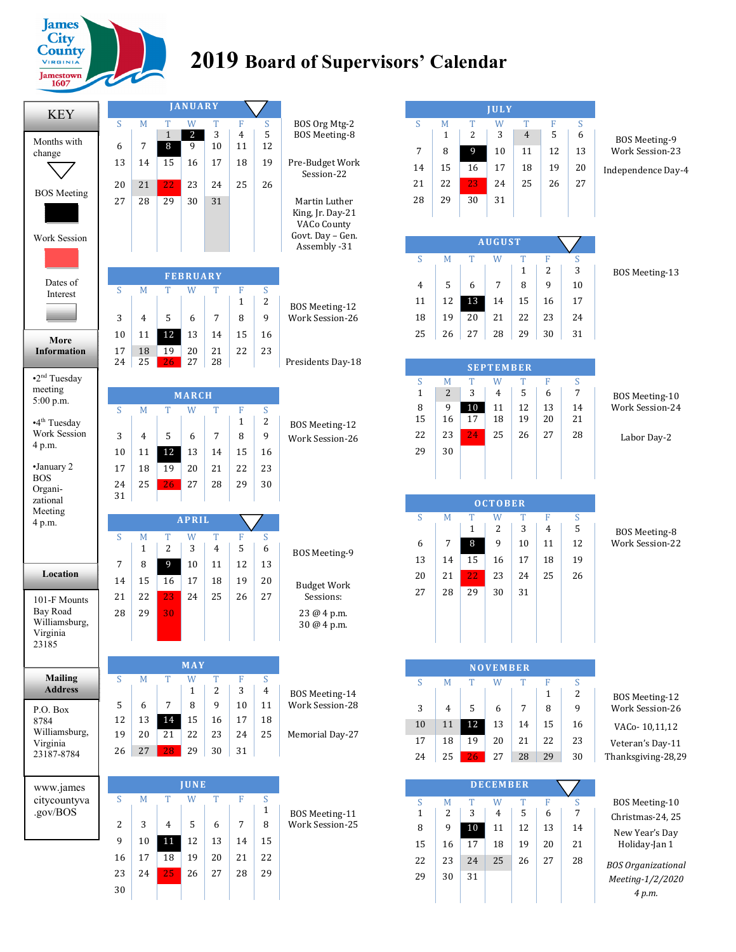

# **2019 Board of Supervisors' Calendar**

| <b>KEY</b>                                      |          |          |                   | <b>JANUARY</b>               |                     |                   |              |                                   |
|-------------------------------------------------|----------|----------|-------------------|------------------------------|---------------------|-------------------|--------------|-----------------------------------|
|                                                 | S        | M        | T                 | W                            | т                   | F                 | S            | BOS Org Mtg-2                     |
| Months with                                     | 6        | 7        | $\mathbf{1}$<br>8 | $\overline{\mathbf{c}}$<br>9 | 3<br>10             | 4<br>11           | 5<br>12      | BOS Meeting-8                     |
| change                                          | 13       | 14       | 15                | 16                           | 17                  | 18                | 19           | Pre-Budget Work                   |
|                                                 |          |          |                   |                              |                     |                   |              | Session-22                        |
| <b>BOS</b> Meeting                              | 20       | 21       | 22                | 23                           | 24                  | 25                | 26           |                                   |
|                                                 | 27       | 28       | 29                | 30                           | 31                  |                   |              | Martin Luther<br>King, Jr. Day-21 |
|                                                 |          |          |                   |                              |                     |                   |              | VACo County                       |
| Work Session                                    |          |          |                   |                              |                     |                   |              | Govt. Day - Gen.<br>Assembly -31  |
|                                                 |          |          |                   |                              |                     |                   |              |                                   |
| Dates of                                        |          |          |                   | <b>FEBRUARY</b>              |                     |                   |              |                                   |
| Interest                                        | S        | M        | T                 | W                            | T                   | F                 | S            |                                   |
|                                                 | 3        | 4        | 5                 | 6                            | 7                   | $\mathbf{1}$<br>8 | 2<br>9       | BOS Meeting-12<br>Work Session-26 |
|                                                 | 10       | 11       | 12                | 13                           | 14                  | 15                | 16           |                                   |
| More<br><b>Information</b>                      | 17       | 18       | 19                | 20                           | 21                  | 22                | 23           |                                   |
|                                                 | 24       | 25       | 26                | 27                           | 28                  |                   |              | Presidents Day-18                 |
| $\cdot$ 2 <sup>nd</sup> Tuesday                 |          |          |                   |                              |                     |                   |              |                                   |
| meeting<br>5:00 p.m.                            |          |          |                   | <b>MARCH</b>                 |                     |                   |              |                                   |
|                                                 | S        | M        | T                 | W                            | T                   | F                 | S            |                                   |
| $\cdot$ 4 <sup>th</sup> Tuesday<br>Work Session | 3        | 4        | 5                 | 6                            | 7                   | $\mathbf{1}$<br>8 | 2<br>9       | BOS Meeting-12                    |
| 4 p.m.                                          | 10       | 11       | 12                | 13                           | 14                  | 15                | 16           | <b>Work Session-26</b>            |
| •January 2                                      | 17       | 18       | 19                | 20                           | 21                  | 22                | 23           |                                   |
| <b>BOS</b>                                      | 24       | 25       | 26                | 27                           | 28                  | 29                | 30           |                                   |
| Organi-                                         | 31       |          |                   |                              |                     |                   |              |                                   |
| zational                                        |          |          |                   |                              |                     |                   |              |                                   |
| Meeting                                         |          |          |                   |                              |                     |                   |              |                                   |
| 4 p.m.                                          |          |          |                   | <b>APRIL</b>                 |                     |                   |              |                                   |
|                                                 | S        | M<br>1   | Т<br>2            | W<br>3                       | T<br>$\overline{4}$ | F<br>5            | S<br>6       |                                   |
|                                                 | 7        | 8        | 9                 | 10                           | 11                  | 12                | 13           | BOS Meeting-9                     |
| Location                                        | 14       | 15       | 16                | 17                           | 18                  | 19                | 20           |                                   |
| 101-F Mounts                                    | 21       | 22       | 23                | 24                           | 25                  | 26                | 27           | <b>Budget Work</b><br>Sessions:   |
| <b>Bay Road</b>                                 | 28       | 29       | 30                |                              |                     |                   |              | 23 @ 4 p.m.                       |
| Williamsburg,<br>Virginia                       |          |          |                   |                              |                     |                   |              | 30 @ 4 p.m.                       |
| 23185                                           |          |          |                   |                              |                     |                   |              |                                   |
|                                                 |          |          |                   | MAY                          |                     |                   |              |                                   |
| <b>Mailing</b>                                  | S        | M        | T                 | W                            | T                   | F                 | S            |                                   |
| <b>Address</b>                                  |          |          |                   | 1                            | 2<br>9              | 3                 | 4            | BOS Meeting-14                    |
| P.O. Box<br>8784                                | 5<br>12  | 6<br>13  | 7<br>14           | 8<br>15                      | 16                  | 10<br>17          | 11<br>18     | Work Session-28                   |
| Williamsburg,                                   | 19       | 20       | 21                | 22                           | 23                  | 24                | 25           | Memorial Day-27                   |
| Virginia<br>23187-8784                          | 26       | 27       | 28                | 29                           | 30                  | 31                |              |                                   |
|                                                 |          |          |                   |                              |                     |                   |              |                                   |
| www.james                                       |          |          |                   | JUNE                         |                     |                   |              |                                   |
| citycountyva                                    | S        | M        | T                 | W                            | T                   | F                 | S            |                                   |
| .gov/BOS                                        |          |          |                   |                              |                     |                   | $\mathbf{1}$ | <b>BOS Meeting-11</b>             |
|                                                 | 2<br>9   | 3        | 4                 | 5                            | 6                   | 7                 | 8            | Work Session-25                   |
|                                                 |          | 10       | 11                | 12                           | 13                  | 14                | 15           |                                   |
|                                                 | 16<br>23 | 17<br>24 | 18                | 19<br>26                     | 20<br>27            | 21<br>28          | 22<br>29     |                                   |
|                                                 | 30       |          | 25                |                              |                     |                   |              |                                   |

|                                                |          |          |                     | <b>JULY</b>      |              |                     |              |
|------------------------------------------------|----------|----------|---------------------|------------------|--------------|---------------------|--------------|
|                                                | S<br>6   | F<br>5   | T<br>$\overline{4}$ | W<br>3           | T<br>2       | M<br>1              | S            |
| BOS Meeting-9<br>Work Session-23               | 13       | 12       | 11                  | 10               | 9            | 8                   | 7            |
|                                                | 20       | 19       | 18                  | 17               | 16           | 15                  | 14           |
| Independence Day-4                             | 27       | 26       | 25                  | 24               | 23           | 22                  | 21           |
|                                                |          |          |                     | 31               | 30           | 29                  | 28           |
|                                                |          |          |                     |                  |              |                     |              |
|                                                |          |          |                     | <b>AUGUST</b>    |              |                     |              |
| <b>BOS Meeting-13</b>                          | S<br>3   | F<br>2   | T<br>$\mathbf{1}$   | W                | T            | M                   | S            |
|                                                | 10       | 9        | 8                   | 7                | 6            | 5                   | 4            |
|                                                | 17       | 16       | 15                  | 14               | 13           | 12                  | 11           |
|                                                | 24       | 23       | 22                  | 21               | 20           | 19                  | 18           |
|                                                | 31       | 30       | 29                  | 28               | 27           | 26                  | 25           |
|                                                |          |          |                     | <b>SEPTEMBER</b> |              |                     |              |
|                                                | S        | F        | T                   | W                | T            | M                   | S            |
| <b>BOS Meeting-10</b><br>Work Session-24       | 7        | 6        | 5                   | $\overline{4}$   | 3<br>10      | $\overline{2}$<br>9 | $\mathbf{1}$ |
|                                                | 14<br>21 | 13<br>20 | 12<br>19            | 11<br>18         | 17           | 16                  | 8<br>15      |
| Labor Day-2                                    | 28       | 27       | 26                  | 25               | 24           | 23                  | 22           |
|                                                |          |          |                     |                  |              | 30                  | 29           |
|                                                |          |          |                     |                  |              |                     |              |
|                                                |          |          |                     | <b>OCTOBER</b>   |              |                     |              |
|                                                | S        | F        | T                   | W                | T            | M                   | S            |
| <b>BOS Meeting-8</b><br><b>Work Session-22</b> | 5        | 4        | 3                   | 2                | $\mathbf{1}$ |                     |              |
|                                                | 12       | 11       | 10                  | 9                | 8            | 7                   | 6            |
|                                                | 19       | 18<br>25 | 17<br>24            | 16               | 15           | 14                  | 13<br>20     |
|                                                | 26       |          | 31                  | 23<br>30         | 22<br>29     | 21<br>28            | 27           |
|                                                |          |          |                     |                  |              |                     |              |
|                                                |          |          |                     |                  |              |                     |              |
|                                                |          |          |                     |                  |              |                     |              |
|                                                |          |          |                     |                  |              |                     |              |
|                                                |          |          |                     | <b>NOVEMBER</b>  |              |                     |              |
|                                                | S<br>2   | F<br>1   | т                   | W                | т            | M                   | S            |
| BOS Meeting-12<br><b>Work Session-26</b>       | 9        | 8        | 7                   | 6                | 5            | 4                   | 3            |
| VACo-10,11,12                                  | 16       | 15       | 14                  | 13               | 12           | 11                  | 10           |
| Veteran's Day-11                               | 23       | 22       | 21                  | 20               | 19           | 18                  | 17           |
| Thanksgiving-28,29                             | 30       | 29       | 28                  | 27               | 26           | 25                  | 24           |
|                                                |          |          |                     | <b>DECEMBER</b>  |              |                     |              |
| BOS Meeting-10                                 | S        | F        | T                   | W                | T            | M                   | S            |
|                                                | 7        | 6        | 5                   | 4                | 3            | 2                   | $\mathbf{1}$ |
| New Year's Day                                 | 14       | 13       | 12                  | 11               | 10           | 9                   | 8            |
| Christmas-24, 25<br>Holiday-Jan 1              | 21       | 20       | 19                  | 18               | 17           | 16                  | 15           |
| <b>BOS Organizational</b><br>Meeting-1/2/2020  | 28       | 27       | 26                  | 25               | 24<br>31     | 23<br>30            | 22<br>29     |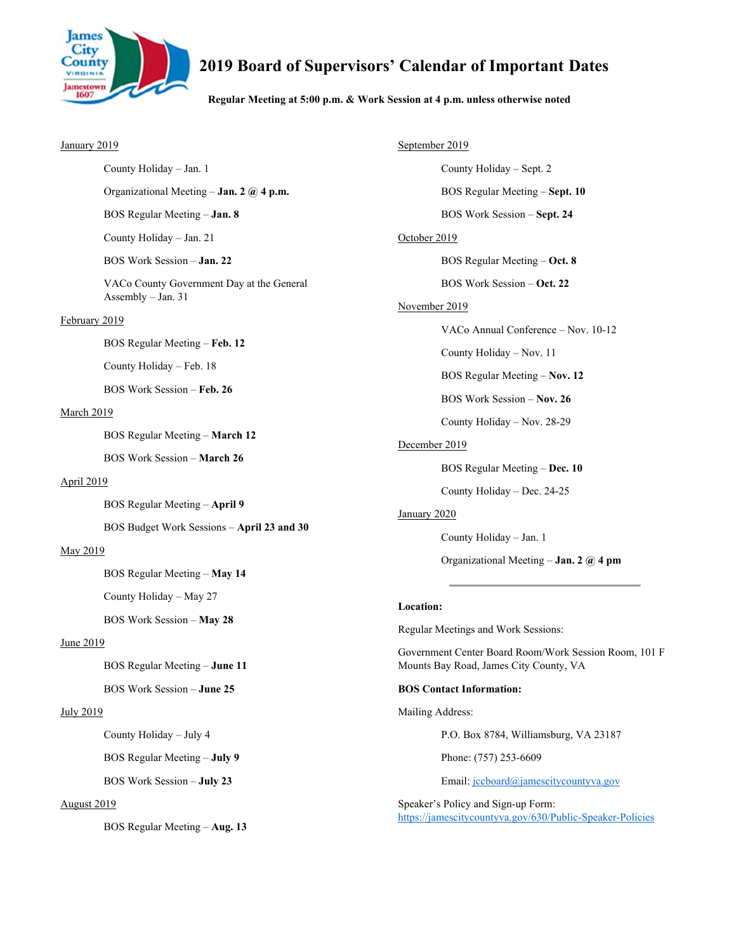

## **2019 Board of Supervisors' Calendar of Important Dates**

#### **Regular Meeting at 5:00 p.m. & Work Session at 4 p.m. unless otherwise noted**

#### January 2019

Organizational Meeting – **Jan. 2 @ 4 p.m.**

BOS Regular Meeting – **Jan. 8**

County Holiday – Jan. 21

County Holiday – Jan. 1

BOS Work Session – **Jan. 22**

 VACo County Government Day at the General Assembly – Jan. 31

#### February 2019

BOS Regular Meeting – **Feb. 12**

County Holiday – Feb. 18

BOS Work Session – **Feb. 26**

#### March 2019

BOS Regular Meeting – **March 12**

BOS Work Session – **March 26** 

#### April 2019

BOS Regular Meeting – **April 9**

BOS Budget Work Sessions – **April 23 and 30**

#### May 2019

BOS Regular Meeting – **May 14**

County Holiday – May 27

BOS Work Session – **May 28**

#### June 2019

BOS Regular Meeting – **June 11**

BOS Work Session – **June 25** 

#### July 2019

County Holiday – July 4

BOS Regular Meeting – **July 9**

BOS Work Session – **July 23**

#### August 2019

BOS Regular Meeting – **Aug. 13**

September 2019 County Holiday – Sept. 2 BOS Regular Meeting – **Sept. 10** BOS Work Session – **Sept. 24** October 2019 BOS Regular Meeting – **Oct. 8** BOS Work Session – **Oct. 22** November 2019 VACo Annual Conference – Nov. 10-12 County Holiday – Nov. 11 BOS Regular Meeting – **Nov. 12** BOS Work Session – **Nov. 26**  County Holiday – Nov. 28-29 December 2019 BOS Regular Meeting – **Dec. 10** County Holiday – Dec. 24-25 January 2020 County Holiday – Jan. 1 Organizational Meeting – **Jan. 2 @ 4 pm**

#### **Location:**

Regular Meetings and Work Sessions:

Government Center Board Room/Work Session Room, 101 F Mounts Bay Road, James City County, VA

#### **BOS Contact Information:**

Mailing Address:

P.O. Box 8784, Williamsburg, VA 23187

Phone: (757) 253-6609

Email: jccboard@jamescitycountyva.gov

Speaker's Policy and Sign-up Form: https://jamescitycountyva.gov/630/Public-Speaker-Policies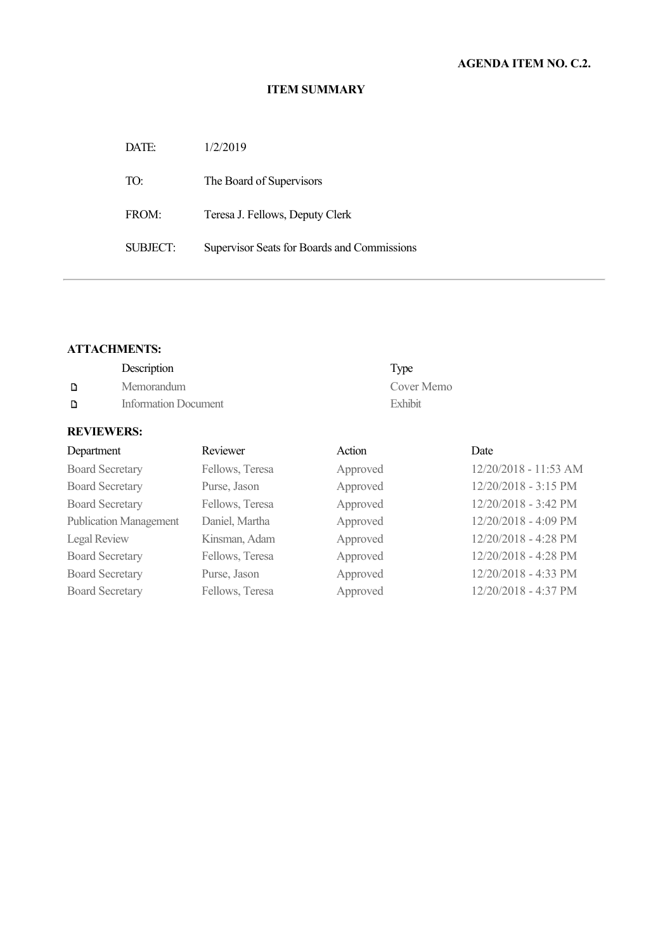| DATE:                | 1/2/2019                                    |
|----------------------|---------------------------------------------|
| TO:                  | The Board of Supervisors                    |
| FROM:                | Teresa J. Fellows, Deputy Clerk             |
| SUBJECT <sup>.</sup> | Supervisor Seats for Boards and Commissions |

#### **ATTACHMENTS:**

|   | Description          | Type       |
|---|----------------------|------------|
| D | Memorandum           | Cover Memo |
| D | Information Document | Exhibit    |

| Department                    | Reviewer        | Action   | Date                  |
|-------------------------------|-----------------|----------|-----------------------|
| <b>Board Secretary</b>        | Fellows, Teresa | Approved | 12/20/2018 - 11:53 AM |
| <b>Board Secretary</b>        | Purse, Jason    | Approved | 12/20/2018 - 3:15 PM  |
| <b>Board Secretary</b>        | Fellows, Teresa | Approved | 12/20/2018 - 3:42 PM  |
| <b>Publication Management</b> | Daniel, Martha  | Approved | 12/20/2018 - 4:09 PM  |
| Legal Review                  | Kinsman, Adam   | Approved | 12/20/2018 - 4:28 PM  |
| <b>Board Secretary</b>        | Fellows, Teresa | Approved | 12/20/2018 - 4:28 PM  |
| <b>Board Secretary</b>        | Purse, Jason    | Approved | 12/20/2018 - 4:33 PM  |
| <b>Board Secretary</b>        | Fellows, Teresa | Approved | 12/20/2018 - 4:37 PM  |
|                               |                 |          |                       |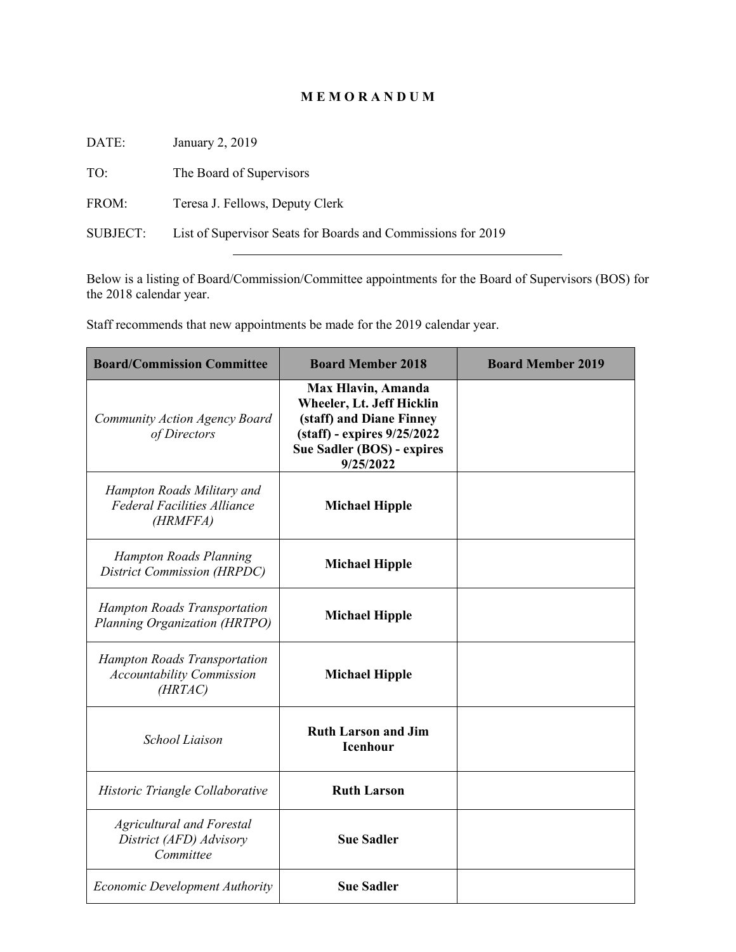## **M E M O R A N D U M**

| DATE:    | January 2, 2019                                              |
|----------|--------------------------------------------------------------|
| TO:      | The Board of Supervisors                                     |
| FROM:    | Teresa J. Fellows, Deputy Clerk                              |
| SUBJECT: | List of Supervisor Seats for Boards and Commissions for 2019 |

Below is a listing of Board/Commission/Committee appointments for the Board of Supervisors (BOS) for the 2018 calendar year.

Staff recommends that new appointments be made for the 2019 calendar year.

| <b>Board/Commission Committee</b>                                            | <b>Board Member 2018</b>                                                                                                                              | <b>Board Member 2019</b> |
|------------------------------------------------------------------------------|-------------------------------------------------------------------------------------------------------------------------------------------------------|--------------------------|
| Community Action Agency Board<br>of Directors                                | Max Hlavin, Amanda<br>Wheeler, Lt. Jeff Hicklin<br>(staff) and Diane Finney<br>(staff) - expires 9/25/2022<br>Sue Sadler (BOS) - expires<br>9/25/2022 |                          |
| Hampton Roads Military and<br><b>Federal Facilities Alliance</b><br>(HRMFFA) | <b>Michael Hipple</b>                                                                                                                                 |                          |
| <b>Hampton Roads Planning</b><br>District Commission (HRPDC)                 | <b>Michael Hipple</b>                                                                                                                                 |                          |
| <b>Hampton Roads Transportation</b><br>Planning Organization (HRTPO)         | <b>Michael Hipple</b>                                                                                                                                 |                          |
| Hampton Roads Transportation<br><b>Accountability Commission</b><br>(HRTAC)  | <b>Michael Hipple</b>                                                                                                                                 |                          |
| <b>School Liaison</b>                                                        | <b>Ruth Larson and Jim</b><br>Icenhour                                                                                                                |                          |
| Historic Triangle Collaborative                                              | <b>Ruth Larson</b>                                                                                                                                    |                          |
| <b>Agricultural and Forestal</b><br>District (AFD) Advisory<br>Committee     | <b>Sue Sadler</b>                                                                                                                                     |                          |
| <b>Economic Development Authority</b>                                        | <b>Sue Sadler</b>                                                                                                                                     |                          |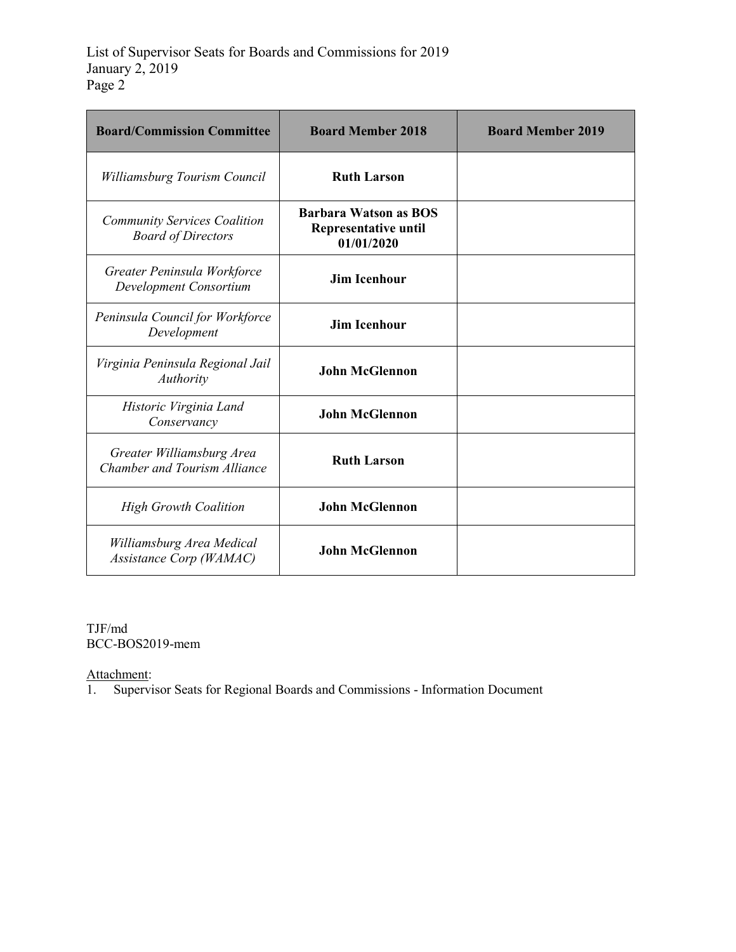| <b>Board/Commission Committee</b>                                | <b>Board Member 2018</b>                                                  | <b>Board Member 2019</b> |
|------------------------------------------------------------------|---------------------------------------------------------------------------|--------------------------|
| Williamsburg Tourism Council                                     | <b>Ruth Larson</b>                                                        |                          |
| <b>Community Services Coalition</b><br><b>Board of Directors</b> | <b>Barbara Watson as BOS</b><br><b>Representative until</b><br>01/01/2020 |                          |
| Greater Peninsula Workforce<br>Development Consortium            | <b>Jim Icenhour</b>                                                       |                          |
| Peninsula Council for Workforce<br>Development                   | <b>Jim Icenhour</b>                                                       |                          |
| Virginia Peninsula Regional Jail<br>Authority                    | <b>John McGlennon</b>                                                     |                          |
| Historic Virginia Land<br>Conservancy                            | <b>John McGlennon</b>                                                     |                          |
| Greater Williamsburg Area<br>Chamber and Tourism Alliance        | <b>Ruth Larson</b>                                                        |                          |
| <b>High Growth Coalition</b>                                     | <b>John McGlennon</b>                                                     |                          |
| Williamsburg Area Medical<br>Assistance Corp (WAMAC)             | <b>John McGlennon</b>                                                     |                          |

TJF/md BCC-BOS2019-mem

Attachment:

1. Supervisor Seats for Regional Boards and Commissions - Information Document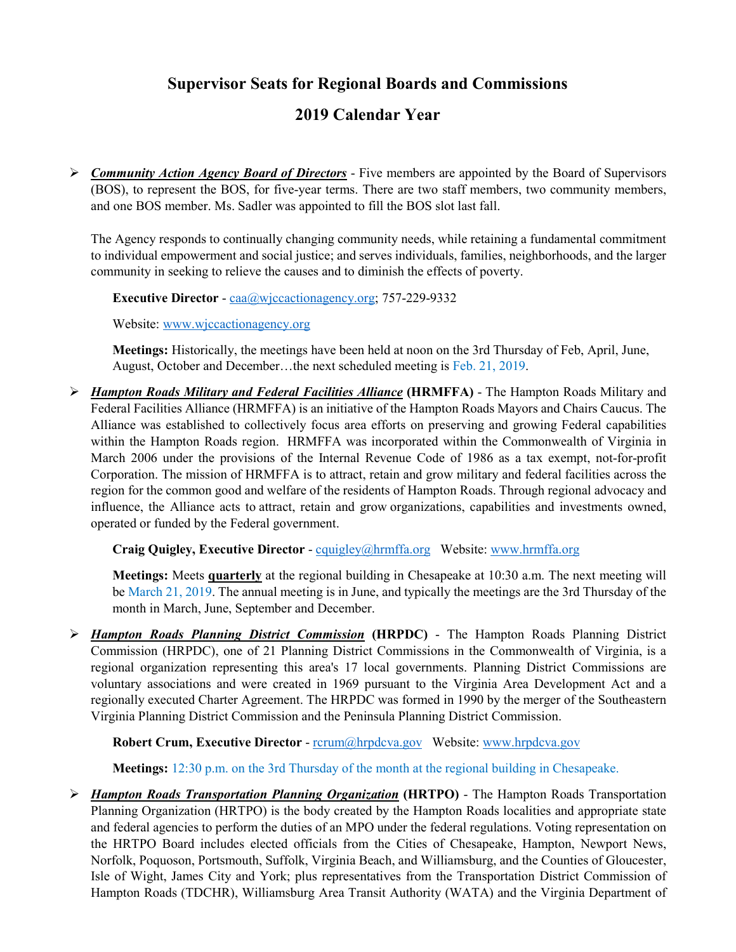**Supervisor Seats for Regional Boards and Commissions** 

## **2019 Calendar Year**

 *Community Action Agency Board of Directors* - Five members are appointed by the Board of Supervisors (BOS), to represent the BOS, for five-year terms. There are two staff members, two community members, and one BOS member. Ms. Sadler was appointed to fill the BOS slot last fall.

The Agency responds to continually changing community needs, while retaining a fundamental commitment to individual empowerment and social justice; and serves individuals, families, neighborhoods, and the larger community in seeking to relieve the causes and to diminish the effects of poverty.

**Executive Director** - caa@wjccactionagency.org; 757-229-9332

Website: www.wjccactionagency.org

**Meetings:** Historically, the meetings have been held at noon on the 3rd Thursday of Feb, April, June, August, October and December…the next scheduled meeting is Feb. 21, 2019.

 *Hampton Roads Military and Federal Facilities Alliance* **(HRMFFA)** - The Hampton Roads Military and Federal Facilities Alliance (HRMFFA) is an initiative of the Hampton Roads Mayors and Chairs Caucus. The Alliance was established to collectively focus area efforts on preserving and growing Federal capabilities within the Hampton Roads region. HRMFFA was incorporated within the Commonwealth of Virginia in March 2006 under the provisions of the Internal Revenue Code of 1986 as a tax exempt, not-for-profit Corporation. The mission of HRMFFA is to attract, retain and grow military and federal facilities across the region for the common good and welfare of the residents of Hampton Roads. Through regional advocacy and influence, the Alliance acts to attract, retain and grow organizations, capabilities and investments owned, operated or funded by the Federal government.

**Craig Quigley, Executive Director** - cquigley@hrmffa.org Website: www.hrmffa.org

**Meetings:** Meets **quarterly** at the regional building in Chesapeake at 10:30 a.m. The next meeting will be March 21, 2019. The annual meeting is in June, and typically the meetings are the 3rd Thursday of the month in March, June, September and December.

 *Hampton Roads Planning District Commission* **(HRPDC)** - The Hampton Roads Planning District Commission (HRPDC), one of 21 Planning District Commissions in the Commonwealth of Virginia, is a regional organization representing this area's 17 local governments. Planning District Commissions are voluntary associations and were created in 1969 pursuant to the Virginia Area Development Act and a regionally executed Charter Agreement. The HRPDC was formed in 1990 by the merger of the Southeastern Virginia Planning District Commission and the Peninsula Planning District Commission.

**Robert Crum, Executive Director** - rcrum@hrpdcva.gov Website: www.hrpdcva.gov

**Meetings:** 12:30 p.m. on the 3rd Thursday of the month at the regional building in Chesapeake.

 *Hampton Roads Transportation Planning Organization* **(HRTPO)** - The Hampton Roads Transportation Planning Organization (HRTPO) is the body created by the Hampton Roads localities and appropriate state and federal agencies to perform the duties of an MPO under the federal regulations. Voting representation on the HRTPO Board includes elected officials from the Cities of Chesapeake, Hampton, Newport News, Norfolk, Poquoson, Portsmouth, Suffolk, Virginia Beach, and Williamsburg, and the Counties of Gloucester, Isle of Wight, James City and York; plus representatives from the Transportation District Commission of Hampton Roads (TDCHR), Williamsburg Area Transit Authority (WATA) and the Virginia Department of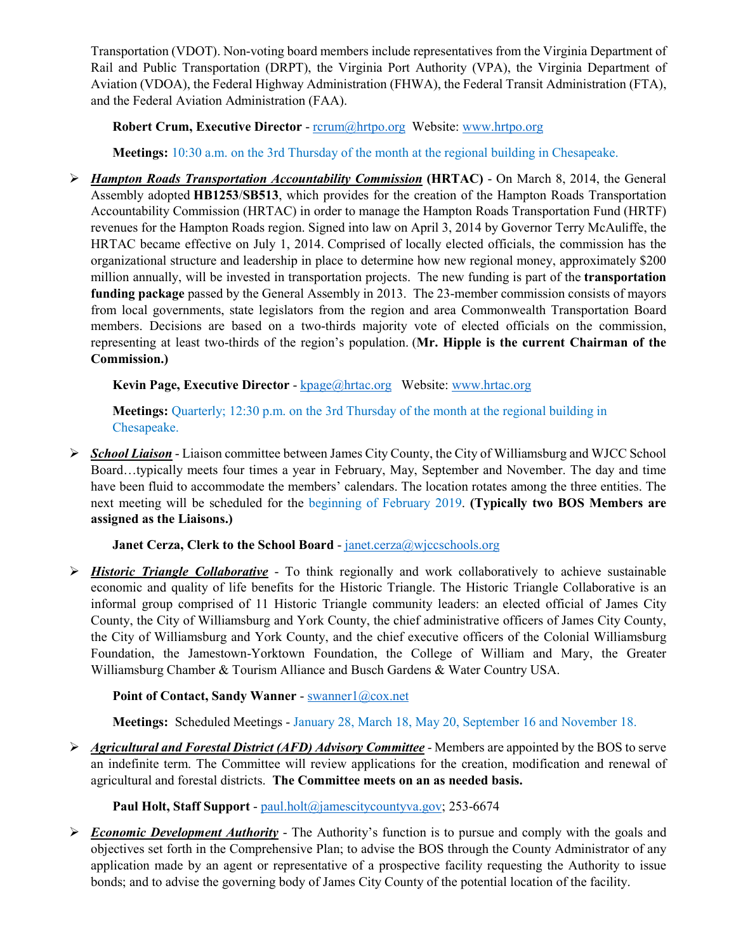Transportation (VDOT). Non-voting board members include representatives from the Virginia Department of Rail and Public Transportation (DRPT), the Virginia Port Authority (VPA), the Virginia Department of Aviation (VDOA), the Federal Highway Administration (FHWA), the Federal Transit Administration (FTA), and the Federal Aviation Administration (FAA).

**Robert Crum, Executive Director** - rcrum@hrtpo.org Website: www.hrtpo.org

**Meetings:** 10:30 a.m. on the 3rd Thursday of the month at the regional building in Chesapeake.

 *Hampton Roads Transportation Accountability Commission* **(HRTAC)** - On March 8, 2014, the General Assembly adopted **HB1253**/**SB513**, which provides for the creation of the Hampton Roads Transportation Accountability Commission (HRTAC) in order to manage the Hampton Roads Transportation Fund (HRTF) revenues for the Hampton Roads region. Signed into law on April 3, 2014 by Governor Terry McAuliffe, the HRTAC became effective on July 1, 2014. Comprised of locally elected officials, the commission has the organizational structure and leadership in place to determine how new regional money, approximately \$200 million annually, will be invested in transportation projects. The new funding is part of the **transportation funding package** passed by the General Assembly in 2013. The 23-member commission consists of mayors from local governments, state legislators from the region and area Commonwealth Transportation Board members. Decisions are based on a two-thirds majority vote of elected officials on the commission, representing at least two-thirds of the region's population. (**Mr. Hipple is the current Chairman of the Commission.)** 

**Kevin Page, Executive Director** - kpage@hrtac.org Website: www.hrtac.org

**Meetings:** Quarterly; 12:30 p.m. on the 3rd Thursday of the month at the regional building in Chesapeake.

 *School Liaison* - Liaison committee between James City County, the City of Williamsburg and WJCC School Board…typically meets four times a year in February, May, September and November. The day and time have been fluid to accommodate the members' calendars. The location rotates among the three entities. The next meeting will be scheduled for the beginning of February 2019. **(Typically two BOS Members are assigned as the Liaisons.)** 

## **Janet Cerza, Clerk to the School Board** - janet.cerza@wjccschools.org

 *Historic Triangle Collaborative* - To think regionally and work collaboratively to achieve sustainable economic and quality of life benefits for the Historic Triangle. The Historic Triangle Collaborative is an informal group comprised of 11 Historic Triangle community leaders: an elected official of James City County, the City of Williamsburg and York County, the chief administrative officers of James City County, the City of Williamsburg and York County, and the chief executive officers of the Colonial Williamsburg Foundation, the Jamestown-Yorktown Foundation, the College of William and Mary, the Greater Williamsburg Chamber & Tourism Alliance and Busch Gardens & Water Country USA.

## Point of Contact, Sandy Wanner - swanner1@cox.net

**Meetings:** Scheduled Meetings - January 28, March 18, May 20, September 16 and November 18.

 *Agricultural and Forestal District (AFD) Advisory Committee* - Members are appointed by the BOS to serve an indefinite term. The Committee will review applications for the creation, modification and renewal of agricultural and forestal districts. **The Committee meets on an as needed basis.** 

## Paul Holt, Staff Support - paul.holt@jamescitycountyva.gov; 253-6674

 *Economic Development Authority* - The Authority's function is to pursue and comply with the goals and objectives set forth in the Comprehensive Plan; to advise the BOS through the County Administrator of any application made by an agent or representative of a prospective facility requesting the Authority to issue bonds; and to advise the governing body of James City County of the potential location of the facility.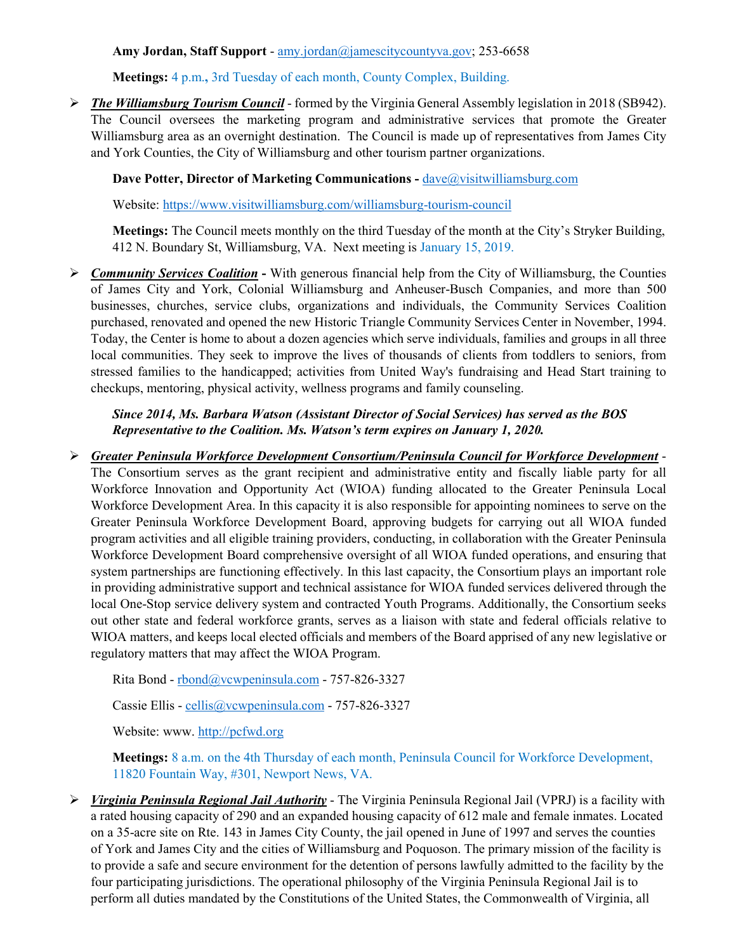#### **Amy Jordan, Staff Support** - amy.jordan@jamescitycountyva.gov; 253-6658

**Meetings:** 4 p.m.**,** 3rd Tuesday of each month, County Complex, Building.

 *The Williamsburg Tourism Council* - formed by the Virginia General Assembly legislation in 2018 (SB942). The Council oversees the marketing program and administrative services that promote the Greater Williamsburg area as an overnight destination. The Council is made up of representatives from James City and York Counties, the City of Williamsburg and other tourism partner organizations.

**Dave Potter, Director of Marketing Communications - dave@visitwilliamsburg.com** 

Website: https://www.visitwilliamsburg.com/williamsburg-tourism-council

**Meetings:** The Council meets monthly on the third Tuesday of the month at the City's Stryker Building, 412 N. Boundary St, Williamsburg, VA. Next meeting is January 15, 2019.

**Examingleright Services Coalition - With generous financial help from the City of Williamsburg, the Counties** of James City and York, Colonial Williamsburg and Anheuser-Busch Companies, and more than 500 businesses, churches, service clubs, organizations and individuals, the Community Services Coalition purchased, renovated and opened the new Historic Triangle Community Services Center in November, 1994. Today, the Center is home to about a dozen agencies which serve individuals, families and groups in all three local communities. They seek to improve the lives of thousands of clients from toddlers to seniors, from stressed families to the handicapped; activities from United Way's fundraising and Head Start training to checkups, mentoring, physical activity, wellness programs and family counseling.

*Since 2014, Ms. Barbara Watson (Assistant Director of Social Services) has served as the BOS Representative to the Coalition. Ms. Watson's term expires on January 1, 2020.* 

 *Greater Peninsula Workforce Development Consortium/Peninsula Council for Workforce Development* - The Consortium serves as the grant recipient and administrative entity and fiscally liable party for all Workforce Innovation and Opportunity Act (WIOA) funding allocated to the Greater Peninsula Local Workforce Development Area. In this capacity it is also responsible for appointing nominees to serve on the Greater Peninsula Workforce Development Board, approving budgets for carrying out all WIOA funded program activities and all eligible training providers, conducting, in collaboration with the Greater Peninsula Workforce Development Board comprehensive oversight of all WIOA funded operations, and ensuring that system partnerships are functioning effectively. In this last capacity, the Consortium plays an important role in providing administrative support and technical assistance for WIOA funded services delivered through the local One-Stop service delivery system and contracted Youth Programs. Additionally, the Consortium seeks out other state and federal workforce grants, serves as a liaison with state and federal officials relative to WIOA matters, and keeps local elected officials and members of the Board apprised of any new legislative or regulatory matters that may affect the WIOA Program.

Rita Bond - rbond@vcwpeninsula.com - 757-826-3327

Cassie Ellis - cellis@vcwpeninsula.com - 757-826-3327

Website: www. http://pcfwd.org

**Meetings:** 8 a.m. on the 4th Thursday of each month, Peninsula Council for Workforce Development, 11820 Fountain Way, #301, Newport News, VA.

 *Virginia Peninsula Regional Jail Authority* - The Virginia Peninsula Regional Jail (VPRJ) is a facility with a rated housing capacity of 290 and an expanded housing capacity of 612 male and female inmates. Located on a 35-acre site on Rte. 143 in James City County, the jail opened in June of 1997 and serves the counties of York and James City and the cities of Williamsburg and Poquoson. The primary mission of the facility is to provide a safe and secure environment for the detention of persons lawfully admitted to the facility by the four participating jurisdictions. The operational philosophy of the Virginia Peninsula Regional Jail is to perform all duties mandated by the Constitutions of the United States, the Commonwealth of Virginia, all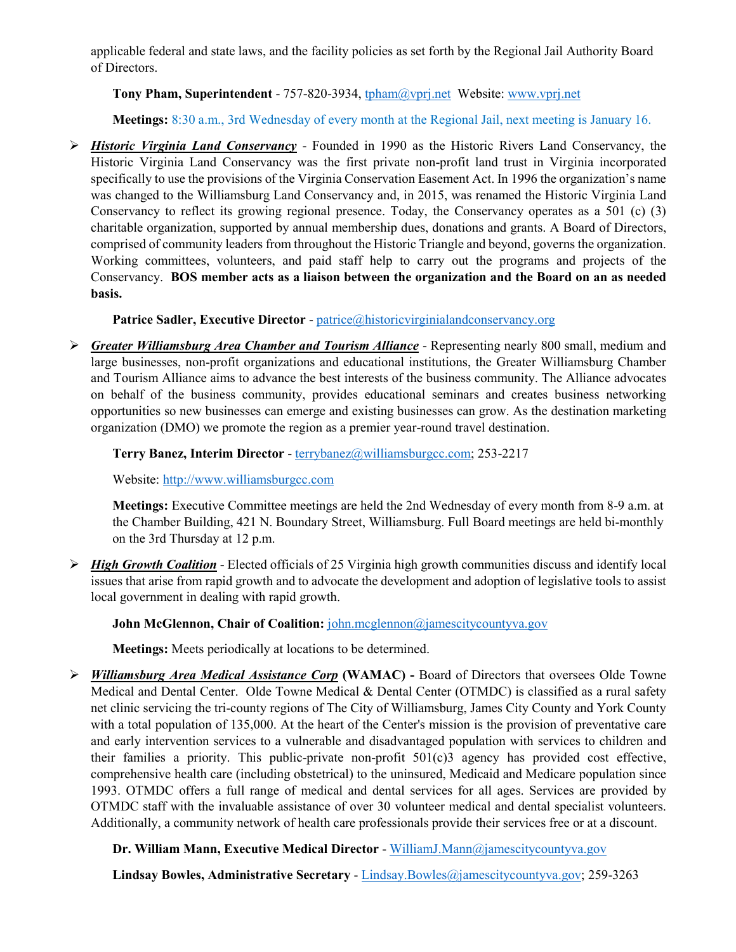applicable federal and state laws, and the facility policies as set forth by the Regional Jail Authority Board of Directors.

#### **Tony Pham, Superintendent** - 757-820-3934, tpham@vprj.net Website: www.vprj.net

**Meetings:** 8:30 a.m., 3rd Wednesday of every month at the Regional Jail, next meeting is January 16.

 *Historic Virginia Land Conservancy* - Founded in 1990 as the Historic Rivers Land Conservancy, the Historic Virginia Land Conservancy was the first private non-profit land trust in Virginia incorporated specifically to use the provisions of the Virginia Conservation Easement Act. In 1996 the organization's name was changed to the Williamsburg Land Conservancy and, in 2015, was renamed the Historic Virginia Land Conservancy to reflect its growing regional presence. Today, the Conservancy operates as a 501 (c) (3) charitable organization, supported by annual membership dues, donations and grants. A Board of Directors, comprised of community leaders from throughout the Historic Triangle and beyond, governs the organization. Working committees, volunteers, and paid staff help to carry out the programs and projects of the Conservancy. **BOS member acts as a liaison between the organization and the Board on an as needed basis.** 

#### **Patrice Sadler, Executive Director** - patrice@historicvirginialandconservancy.org

 *Greater Williamsburg Area Chamber and Tourism Alliance* - Representing nearly 800 small, medium and large businesses, non-profit organizations and educational institutions, the Greater Williamsburg Chamber and Tourism Alliance aims to advance the best interests of the business community. The Alliance advocates on behalf of the business community, provides educational seminars and creates business networking opportunities so new businesses can emerge and existing businesses can grow. As the destination marketing organization (DMO) we promote the region as a premier year-round travel destination.

#### **Terry Banez, Interim Director** - terrybanez@williamsburgcc.com; 253-2217

Website: http://www.williamsburgcc.com

**Meetings:** Executive Committee meetings are held the 2nd Wednesday of every month from 8-9 a.m. at the Chamber Building, 421 N. Boundary Street, Williamsburg. Full Board meetings are held bi-monthly on the 3rd Thursday at 12 p.m.

 *High Growth Coalition* - Elected officials of 25 Virginia high growth communities discuss and identify local issues that arise from rapid growth and to advocate the development and adoption of legislative tools to assist local government in dealing with rapid growth.

**John McGlennon, Chair of Coalition:** *john.mcglennon@jamescitycountyva.gov* 

**Meetings:** Meets periodically at locations to be determined.

 *Williamsburg Area Medical Assistance Corp* **(WAMAC) -** Board of Directors that oversees Olde Towne Medical and Dental Center. Olde Towne Medical & Dental Center (OTMDC) is classified as a rural safety net clinic servicing the tri-county regions of The City of Williamsburg, James City County and York County with a total population of 135,000. At the heart of the Center's mission is the provision of preventative care and early intervention services to a vulnerable and disadvantaged population with services to children and their families a priority. This public-private non-profit 501(c)3 agency has provided cost effective, comprehensive health care (including obstetrical) to the uninsured, Medicaid and Medicare population since 1993. OTMDC offers a full range of medical and dental services for all ages. Services are provided by OTMDC staff with the invaluable assistance of over 30 volunteer medical and dental specialist volunteers. Additionally, a community network of health care professionals provide their services free or at a discount.

**Dr. William Mann, Executive Medical Director** - WilliamJ.Mann@jamescitycountyva.gov

**Lindsay Bowles, Administrative Secretary** - Lindsay.Bowles@jamescitycountyva.gov; 259-3263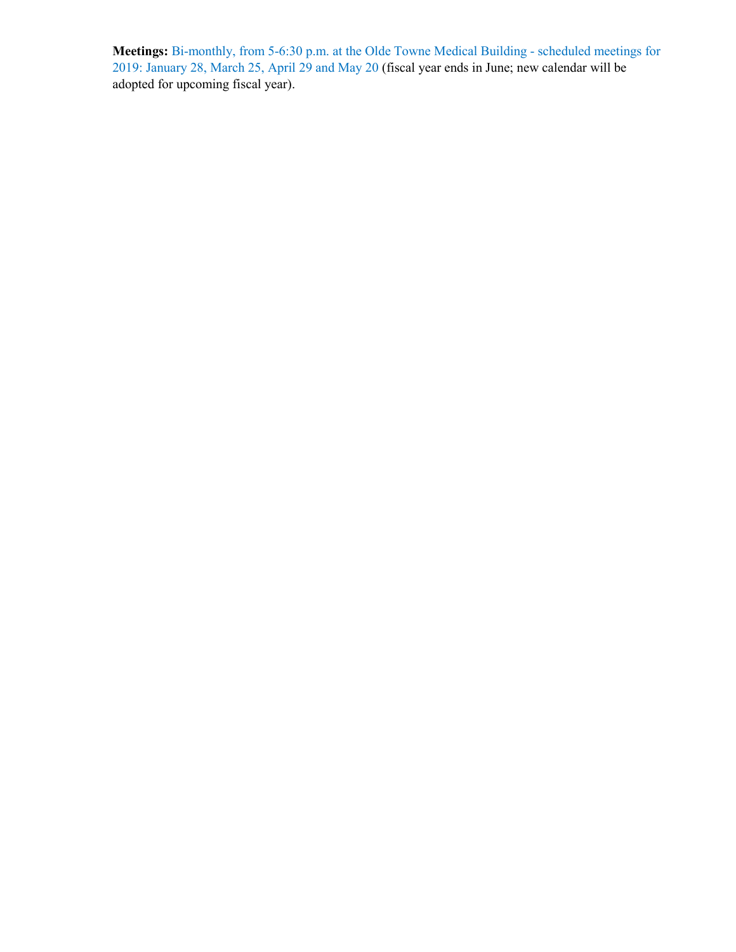**Meetings:** Bi-monthly, from 5-6:30 p.m. at the Olde Towne Medical Building - scheduled meetings for 2019: January 28, March 25, April 29 and May 20 (fiscal year ends in June; new calendar will be adopted for upcoming fiscal year).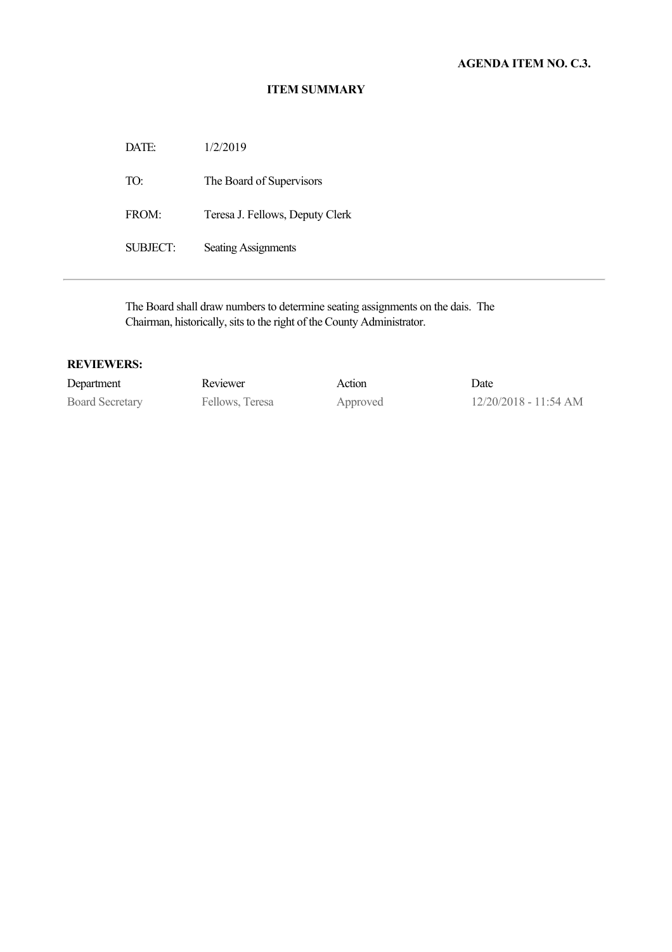DATE: 1/2/2019 TO: The Board of Supervisors FROM: Teresa J. Fellows, Deputy Clerk SUBJECT: Seating Assignments

The Board shall draw numbers to determine seating assignments on the dais. The Chairman, historically, sits to the right of the County Administrator.

| Department             | Reviewer        | Action   | Date                    |
|------------------------|-----------------|----------|-------------------------|
| <b>Board Secretary</b> | Fellows, Teresa | Approved | $12/20/2018 - 11:54$ AM |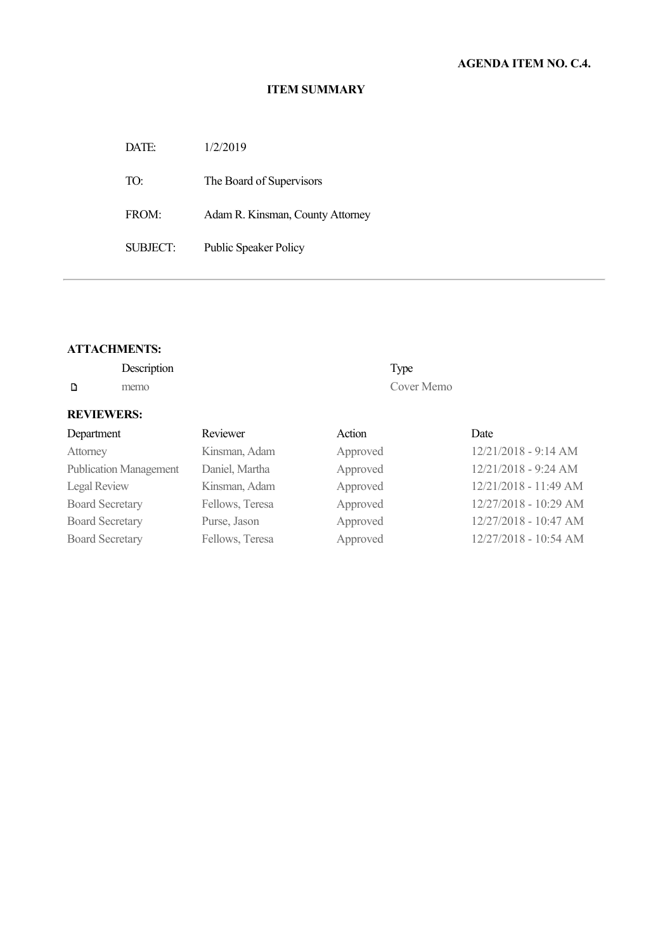DATE: 1/2/2019 TO: The Board of Supervisors FROM: Adam R. Kinsman, County Attorney SUBJECT: Public Speaker Policy

#### **ATTACHMENTS:**

|   | Description | Type       |
|---|-------------|------------|
| D | memo        | Cover Memo |

| Department                    | Reviewer        | Action   | Date                  |
|-------------------------------|-----------------|----------|-----------------------|
| Attorney                      | Kinsman, Adam   | Approved | 12/21/2018 - 9:14 AM  |
| <b>Publication Management</b> | Daniel, Martha  | Approved | 12/21/2018 - 9:24 AM  |
| Legal Review                  | Kinsman, Adam   | Approved | 12/21/2018 - 11:49 AM |
| <b>Board Secretary</b>        | Fellows, Teresa | Approved | 12/27/2018 - 10:29 AM |
| <b>Board Secretary</b>        | Purse, Jason    | Approved | 12/27/2018 - 10:47 AM |
| <b>Board Secretary</b>        | Fellows, Teresa | Approved | 12/27/2018 - 10:54 AM |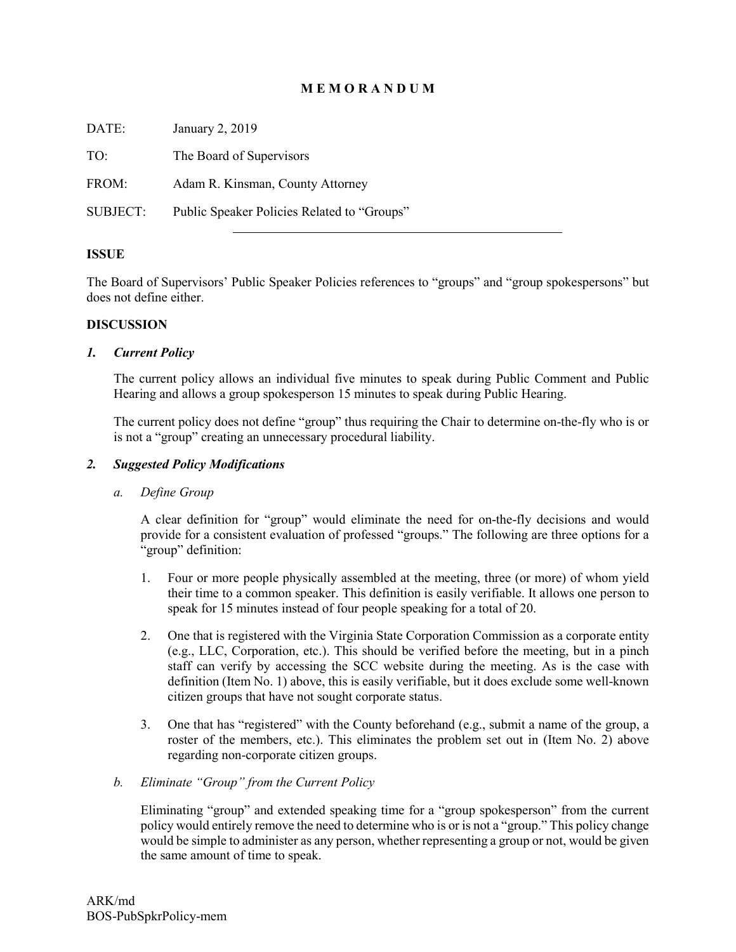## **M E M O R A N D U M**

DATE: January 2, 2019 TO: The Board of Supervisors FROM: Adam R. Kinsman, County Attorney SUBJECT: Public Speaker Policies Related to "Groups"

#### **ISSUE**

The Board of Supervisors' Public Speaker Policies references to "groups" and "group spokespersons" but does not define either.

#### **DISCUSSION**

#### *1. Current Policy*

The current policy allows an individual five minutes to speak during Public Comment and Public Hearing and allows a group spokesperson 15 minutes to speak during Public Hearing.

The current policy does not define "group" thus requiring the Chair to determine on-the-fly who is or is not a "group" creating an unnecessary procedural liability.

#### *2. Suggested Policy Modifications*

#### *a. Define Group*

A clear definition for "group" would eliminate the need for on-the-fly decisions and would provide for a consistent evaluation of professed "groups." The following are three options for a "group" definition:

- 1. Four or more people physically assembled at the meeting, three (or more) of whom yield their time to a common speaker. This definition is easily verifiable. It allows one person to speak for 15 minutes instead of four people speaking for a total of 20.
- 2. One that is registered with the Virginia State Corporation Commission as a corporate entity (e.g., LLC, Corporation, etc.). This should be verified before the meeting, but in a pinch staff can verify by accessing the SCC website during the meeting. As is the case with definition (Item No. 1) above, this is easily verifiable, but it does exclude some well-known citizen groups that have not sought corporate status.
- 3. One that has "registered" with the County beforehand (e.g., submit a name of the group, a roster of the members, etc.). This eliminates the problem set out in (Item No. 2) above regarding non-corporate citizen groups.

#### *b. Eliminate "Group" from the Current Policy*

Eliminating "group" and extended speaking time for a "group spokesperson" from the current policy would entirely remove the need to determine who is or is not a "group." This policy change would be simple to administer as any person, whether representing a group or not, would be given the same amount of time to speak.